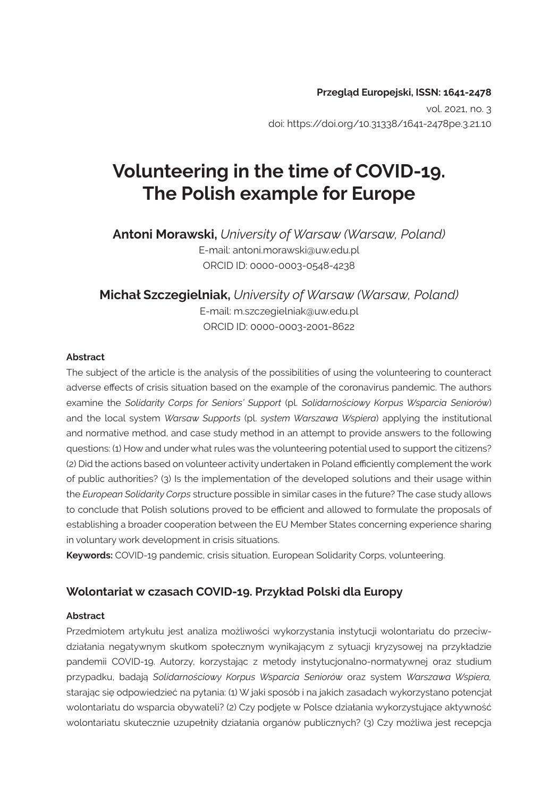#### **Przegląd Europejski, ISSN: 1641-2478**

vol. 2021, no. 3 doi: https://doi.org/10.31338/1641-2478pe.3.21.10

# **Volunteering in the time of COVID-19. The Polish example for Europe**

**Antoni Morawski,** *University of Warsaw (Warsaw, Poland)* E-mail: antoni.morawski@uw.edu.pl ORCID ID: 0000-0003-0548-4238

**Michał Szczegielniak,** *University of Warsaw (Warsaw, Poland)* E-mail: m.szczegielniak@uw.edu.pl ORCID ID: 0000-0003-2001-8622

#### **Abstract**

The subject of the article is the analysis of the possibilities of using the volunteering to counteract adverse effects of crisis situation based on the example of the coronavirus pandemic. The authors examine the *Solidarity Corps for Seniors' Support* (pl. *Solidarnościowy Korpus Wsparcia Seniorów*) and the local system *Warsaw Supports* (pl. *system Warszawa Wspiera*) applying the institutional and normative method, and case study method in an attempt to provide answers to the following questions: (1) How and under what rules was the volunteering potential used to support the citizens? (2) Did the actions based on volunteer activity undertaken in Poland efficiently complement the work of public authorities? (3) Is the implementation of the developed solutions and their usage within the *European Solidarity Corps* structure possible in similar cases in the future? The case study allows to conclude that Polish solutions proved to be efficient and allowed to formulate the proposals of establishing a broader cooperation between the EU Member States concerning experience sharing in voluntary work development in crisis situations.

**Keywords:** COVID-19 pandemic, crisis situation, European Solidarity Corps, volunteering.

#### **Wolontariat w czasach COVID-19. Przykład Polski dla Europy**

#### **Abstract**

Przedmiotem artykułu jest analiza możliwości wykorzystania instytucji wolontariatu do przeciwdziałania negatywnym skutkom społecznym wynikającym z sytuacji kryzysowej na przykładzie pandemii COVID-19. Autorzy, korzystając z metody instytucjonalno-normatywnej oraz studium przypadku, badają *Solidarnościowy Korpus Wsparcia Seniorów* oraz system *Warszawa Wspiera,* starając się odpowiedzieć na pytania: (1) W jaki sposób i na jakich zasadach wykorzystano potencjał wolontariatu do wsparcia obywateli? (2) Czy podjęte w Polsce działania wykorzystujące aktywność wolontariatu skutecznie uzupełniły działania organów publicznych? (3) Czy możliwa jest recepcja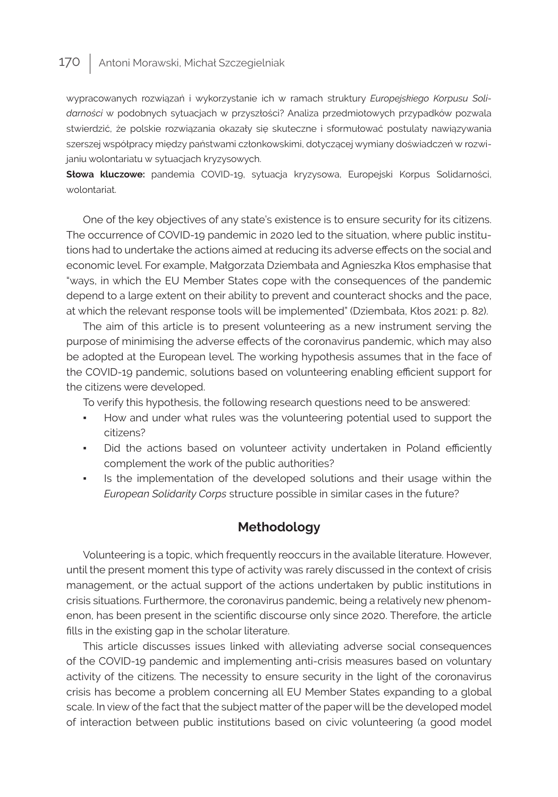wypracowanych rozwiązań i wykorzystanie ich w ramach struktury *Europejskiego Korpusu Solidarności* w podobnych sytuacjach w przyszłości? Analiza przedmiotowych przypadków pozwala stwierdzić, że polskie rozwiązania okazały się skuteczne i sformułować postulaty nawiązywania szerszej współpracy między państwami członkowskimi, dotyczącej wymiany doświadczeń w rozwijaniu wolontariatu w sytuacjach kryzysowych.

**Słowa kluczowe:** pandemia COVID-19, sytuacja kryzysowa, Europejski Korpus Solidarności, wolontariat.

One of the key objectives of any state's existence is to ensure security for its citizens. The occurrence of COVID-19 pandemic in 2020 led to the situation, where public institutions had to undertake the actions aimed at reducing its adverse effects on the social and economic level. For example, Małgorzata Dziembała and Agnieszka Kłos emphasise that "ways, in which the EU Member States cope with the consequences of the pandemic depend to a large extent on their ability to prevent and counteract shocks and the pace, at which the relevant response tools will be implemented" (Dziembała, Kłos 2021: p. 82).

The aim of this article is to present volunteering as a new instrument serving the purpose of minimising the adverse effects of the coronavirus pandemic, which may also be adopted at the European level. The working hypothesis assumes that in the face of the COVID-19 pandemic, solutions based on volunteering enabling efficient support for the citizens were developed.

To verify this hypothesis, the following research questions need to be answered:

- How and under what rules was the volunteering potential used to support the citizens?
- Did the actions based on volunteer activity undertaken in Poland efficiently complement the work of the public authorities?
- Is the implementation of the developed solutions and their usage within the *European Solidarity Corps* structure possible in similar cases in the future?

### **Methodology**

Volunteering is a topic, which frequently reoccurs in the available literature. However, until the present moment this type of activity was rarely discussed in the context of crisis management, or the actual support of the actions undertaken by public institutions in crisis situations. Furthermore, the coronavirus pandemic, being a relatively new phenomenon, has been present in the scientific discourse only since 2020. Therefore, the article fills in the existing gap in the scholar literature.

This article discusses issues linked with alleviating adverse social consequences of the COVID-19 pandemic and implementing anti-crisis measures based on voluntary activity of the citizens. The necessity to ensure security in the light of the coronavirus crisis has become a problem concerning all EU Member States expanding to a global scale. In view of the fact that the subject matter of the paper will be the developed model of interaction between public institutions based on civic volunteering (a good model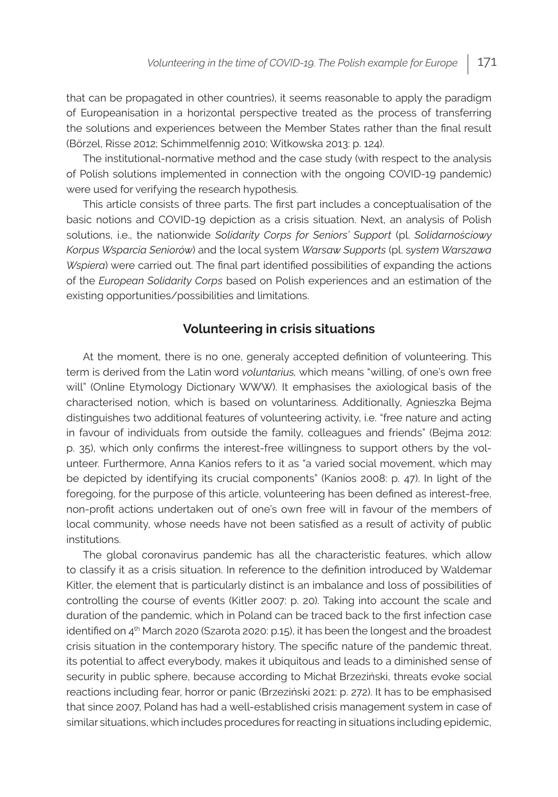that can be propagated in other countries), it seems reasonable to apply the paradigm of Europeanisation in a horizontal perspective treated as the process of transferring the solutions and experiences between the Member States rather than the final result (Börzel, Risse 2012; Schimmelfennig 2010; Witkowska 2013: p. 124).

The institutional-normative method and the case study (with respect to the analysis of Polish solutions implemented in connection with the ongoing COVID-19 pandemic) were used for verifying the research hypothesis.

This article consists of three parts. The first part includes a conceptualisation of the basic notions and COVID-19 depiction as a crisis situation. Next, an analysis of Polish solutions, i.e., the nationwide *Solidarity Corps for Seniors' Support* (pl. *Solidarnościowy Korpus Wsparcia Seniorów*) and the local system *Warsaw Supports* (pl. s*ystem Warszawa Wspiera*) were carried out. The final part identified possibilities of expanding the actions of the *European Solidarity Corps* based on Polish experiences and an estimation of the existing opportunities/possibilities and limitations.

### **Volunteering in crisis situations**

At the moment, there is no one, generaly accepted definition of volunteering. This term is derived from the Latin word *voluntarius,* which means "willing, of one's own free will" (Online Etymology Dictionary WWW). It emphasises the axiological basis of the characterised notion, which is based on voluntariness. Additionally, Agnieszka Bejma distinguishes two additional features of volunteering activity, i.e. "free nature and acting in favour of individuals from outside the family, colleagues and friends" (Bejma 2012: p. 35), which only confirms the interest-free willingness to support others by the volunteer. Furthermore, Anna Kanios refers to it as "a varied social movement, which may be depicted by identifying its crucial components" (Kanios 2008: p. 47). In light of the foregoing, for the purpose of this article, volunteering has been defined as interest-free, non-profit actions undertaken out of one's own free will in favour of the members of local community, whose needs have not been satisfied as a result of activity of public institutions.

The global coronavirus pandemic has all the characteristic features, which allow to classify it as a crisis situation. In reference to the definition introduced by Waldemar Kitler, the element that is particularly distinct is an imbalance and loss of possibilities of controlling the course of events (Kitler 2007: p. 20). Taking into account the scale and duration of the pandemic, which in Poland can be traced back to the first infection case identified on 4<sup>th</sup> March 2020 (Szarota 2020: p.15), it has been the longest and the broadest crisis situation in the contemporary history. The specific nature of the pandemic threat, its potential to affect everybody, makes it ubiquitous and leads to a diminished sense of security in public sphere, because according to Michał Brzeziński, threats evoke social reactions including fear, horror or panic (Brzeziński 2021: p. 272). It has to be emphasised that since 2007, Poland has had a well-established crisis management system in case of similar situations, which includes procedures for reacting in situations including epidemic,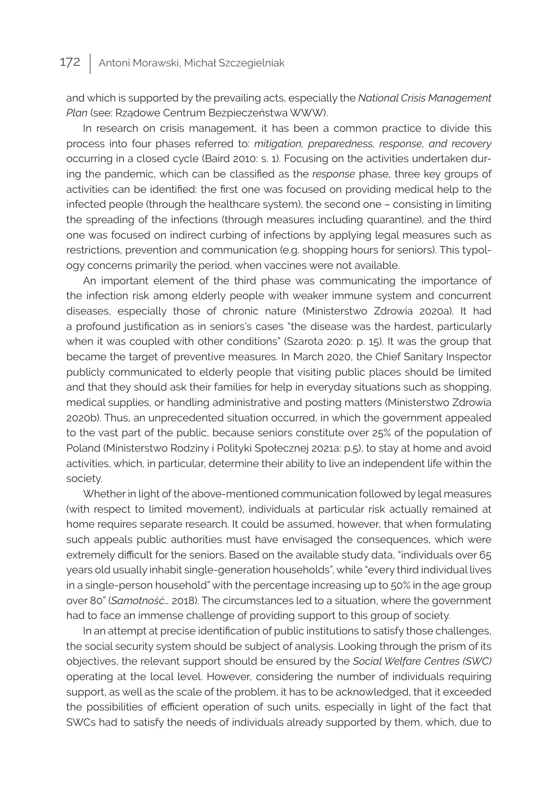and which is supported by the prevailing acts, especially the *National Crisis Management Plan* (see: Rządowe Centrum Bezpieczeństwa WWW).

In research on crisis management, it has been a common practice to divide this process into four phases referred to: *mitigation, preparedness, response, and recovery* occurring in a closed cycle (Baird 2010: s. 1). Focusing on the activities undertaken during the pandemic, which can be classified as the *response* phase, three key groups of activities can be identified: the first one was focused on providing medical help to the infected people (through the healthcare system), the second one – consisting in limiting the spreading of the infections (through measures including quarantine), and the third one was focused on indirect curbing of infections by applying legal measures such as restrictions, prevention and communication (e.g. shopping hours for seniors). This typology concerns primarily the period, when vaccines were not available.

An important element of the third phase was communicating the importance of the infection risk among elderly people with weaker immune system and concurrent diseases, especially those of chronic nature (Ministerstwo Zdrowia 2020a). It had a profound justification as in seniors's cases "the disease was the hardest, particularly when it was coupled with other conditions" (Szarota 2020: p. 15). It was the group that became the target of preventive measures. In March 2020, the Chief Sanitary Inspector publicly communicated to elderly people that visiting public places should be limited and that they should ask their families for help in everyday situations such as shopping, medical supplies, or handling administrative and posting matters (Ministerstwo Zdrowia 2020b). Thus, an unprecedented situation occurred, in which the government appealed to the vast part of the public, because seniors constitute over 25% of the population of Poland (Ministerstwo Rodziny i Polityki Społecznej 2021a: p.5), to stay at home and avoid activities, which, in particular, determine their ability to live an independent life within the society.

Whether in light of the above-mentioned communication followed by legal measures (with respect to limited movement), individuals at particular risk actually remained at home requires separate research. It could be assumed, however, that when formulating such appeals public authorities must have envisaged the consequences, which were extremely difficult for the seniors. Based on the available study data, "individuals over 65 years old usually inhabit single-generation households", while "every third individual lives in a single-person household" with the percentage increasing up to 50% in the age group over 80" (*Samotność…* 2018). The circumstances led to a situation, where the government had to face an immense challenge of providing support to this group of society.

In an attempt at precise identification of public institutions to satisfy those challenges, the social security system should be subject of analysis. Looking through the prism of its objectives, the relevant support should be ensured by the *Social Welfare Centres (SWC)* operating at the local level. However, considering the number of individuals requiring support, as well as the scale of the problem, it has to be acknowledged, that it exceeded the possibilities of efficient operation of such units, especially in light of the fact that SWCs had to satisfy the needs of individuals already supported by them, which, due to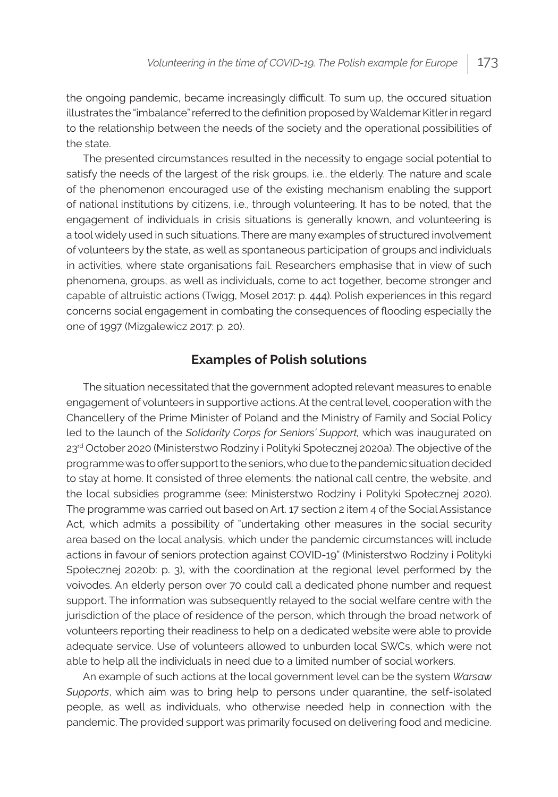the ongoing pandemic, became increasingly difficult. To sum up, the occured situation illustrates the "imbalance" referred to the definition proposed by Waldemar Kitler in regard to the relationship between the needs of the society and the operational possibilities of the state.

The presented circumstances resulted in the necessity to engage social potential to satisfy the needs of the largest of the risk groups, i.e., the elderly. The nature and scale of the phenomenon encouraged use of the existing mechanism enabling the support of national institutions by citizens, i.e., through volunteering. It has to be noted, that the engagement of individuals in crisis situations is generally known, and volunteering is a tool widely used in such situations. There are many examples of structured involvement of volunteers by the state, as well as spontaneous participation of groups and individuals in activities, where state organisations fail. Researchers emphasise that in view of such phenomena, groups, as well as individuals, come to act together, become stronger and capable of altruistic actions (Twigg, Mosel 2017: p. 444). Polish experiences in this regard concerns social engagement in combating the consequences of flooding especially the one of 1997 (Mizgalewicz 2017: p. 20).

### **Examples of Polish solutions**

The situation necessitated that the government adopted relevant measures to enable engagement of volunteers in supportive actions. At the central level, cooperation with the Chancellery of the Prime Minister of Poland and the Ministry of Family and Social Policy led to the launch of the *Solidarity Corps for Seniors' Support,* which was inaugurated on 23rd October 2020 (Ministerstwo Rodziny i Polityki Społecznej 2020a). The objective of the programme was to offer support to the seniors, who due to the pandemic situation decided to stay at home. It consisted of three elements: the national call centre, the website, and the local subsidies programme (see: Ministerstwo Rodziny i Polityki Społecznej 2020). The programme was carried out based on Art. 17 section 2 item 4 of the Social Assistance Act, which admits a possibility of "undertaking other measures in the social security area based on the local analysis, which under the pandemic circumstances will include actions in favour of seniors protection against COVID-19" (Ministerstwo Rodziny i Polityki Społecznej 2020b: p. 3), with the coordination at the regional level performed by the voivodes. An elderly person over 70 could call a dedicated phone number and request support. The information was subsequently relayed to the social welfare centre with the jurisdiction of the place of residence of the person, which through the broad network of volunteers reporting their readiness to help on a dedicated website were able to provide adequate service. Use of volunteers allowed to unburden local SWCs, which were not able to help all the individuals in need due to a limited number of social workers.

An example of such actions at the local government level can be the system *Warsaw Supports*, which aim was to bring help to persons under quarantine, the self-isolated people, as well as individuals, who otherwise needed help in connection with the pandemic. The provided support was primarily focused on delivering food and medicine.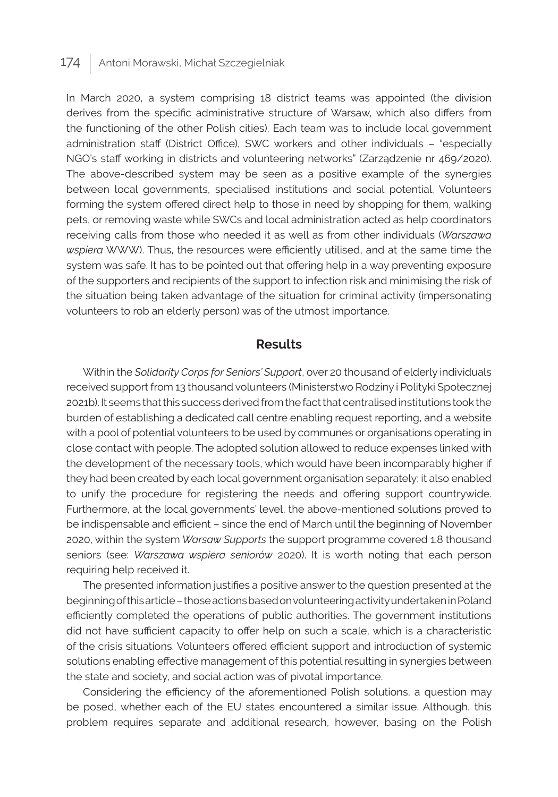In March 2020, a system comprising 18 district teams was appointed (the division derives from the specific administrative structure of Warsaw, which also differs from the functioning of the other Polish cities). Each team was to include local government administration staff (District Office), SWC workers and other individuals – "especially NGO's staff working in districts and volunteering networks" (Zarządzenie nr 469/2020). The above-described system may be seen as a positive example of the synergies between local governments, specialised institutions and social potential. Volunteers forming the system offered direct help to those in need by shopping for them, walking pets, or removing waste while SWCs and local administration acted as help coordinators receiving calls from those who needed it as well as from other individuals (*Warszawa wspiera* WWW). Thus, the resources were efficiently utilised, and at the same time the system was safe. It has to be pointed out that offering help in a way preventing exposure of the supporters and recipients of the support to infection risk and minimising the risk of the situation being taken advantage of the situation for criminal activity (impersonating volunteers to rob an elderly person) was of the utmost importance.

### **Results**

Within the *Solidarity Corps for Seniors' Support*, over 20 thousand of elderly individuals received support from 13 thousand volunteers (Ministerstwo Rodziny i Polityki Społecznej 2021b). It seems that this success derived from the fact that centralised institutions took the burden of establishing a dedicated call centre enabling request reporting, and a website with a pool of potential volunteers to be used by communes or organisations operating in close contact with people. The adopted solution allowed to reduce expenses linked with the development of the necessary tools, which would have been incomparably higher if they had been created by each local government organisation separately; it also enabled to unify the procedure for registering the needs and offering support countrywide. Furthermore, at the local governments' level, the above-mentioned solutions proved to be indispensable and efficient – since the end of March until the beginning of November 2020, within the system *Warsaw Supports* the support programme covered 1.8 thousand seniors (see: *Warszawa wspiera seniorów* 2020). It is worth noting that each person requiring help received it.

The presented information justifies a positive answer to the question presented at the beginning of this article – those actions based on volunteering activity undertaken in Poland efficiently completed the operations of public authorities. The government institutions did not have sufficient capacity to offer help on such a scale, which is a characteristic of the crisis situations. Volunteers offered efficient support and introduction of systemic solutions enabling effective management of this potential resulting in synergies between the state and society, and social action was of pivotal importance.

Considering the efficiency of the aforementioned Polish solutions, a question may be posed, whether each of the EU states encountered a similar issue. Although, this problem requires separate and additional research, however, basing on the Polish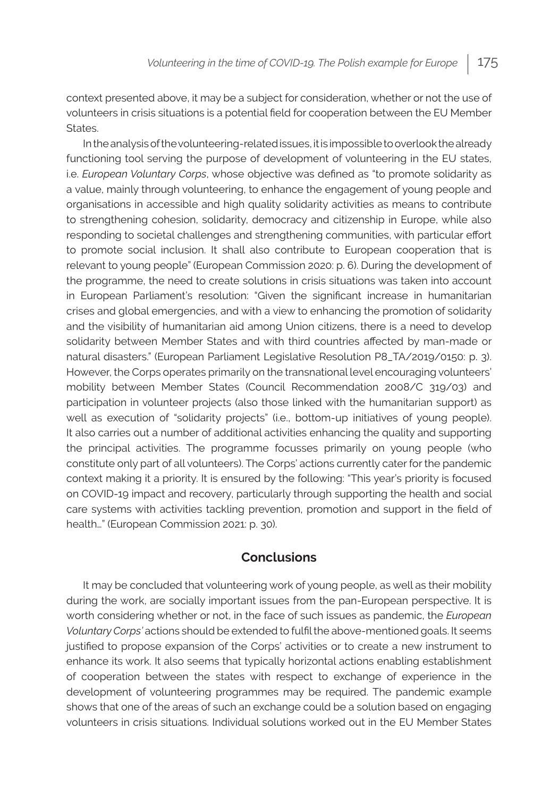context presented above, it may be a subject for consideration, whether or not the use of volunteers in crisis situations is a potential field for cooperation between the EU Member States.

In the analysis of the volunteering-related issues, it is impossible to overlook the already functioning tool serving the purpose of development of volunteering in the EU states, i.e. *European Voluntary Corps*, whose objective was defined as "to promote solidarity as a value, mainly through volunteering, to enhance the engagement of young people and organisations in accessible and high quality solidarity activities as means to contribute to strengthening cohesion, solidarity, democracy and citizenship in Europe, while also responding to societal challenges and strengthening communities, with particular effort to promote social inclusion. It shall also contribute to European cooperation that is relevant to young people" (European Commission 2020: p. 6). During the development of the programme, the need to create solutions in crisis situations was taken into account in European Parliament's resolution: "Given the significant increase in humanitarian crises and global emergencies, and with a view to enhancing the promotion of solidarity and the visibility of humanitarian aid among Union citizens, there is a need to develop solidarity between Member States and with third countries affected by man-made or natural disasters." (European Parliament Legislative Resolution P8\_TA/2019/0150: p. 3). However, the Corps operates primarily on the transnational level encouraging volunteers' mobility between Member States (Council Recommendation 2008/C 319/03) and participation in volunteer projects (also those linked with the humanitarian support) as well as execution of "solidarity projects" (i.e., bottom-up initiatives of young people). It also carries out a number of additional activities enhancing the quality and supporting the principal activities. The programme focusses primarily on young people (who constitute only part of all volunteers). The Corps' actions currently cater for the pandemic context making it a priority. It is ensured by the following: "This year's priority is focused on COVID-19 impact and recovery, particularly through supporting the health and social care systems with activities tackling prevention, promotion and support in the field of health…" (European Commission 2021: p. 30).

### **Conclusions**

It may be concluded that volunteering work of young people, as well as their mobility during the work, are socially important issues from the pan-European perspective. It is worth considering whether or not, in the face of such issues as pandemic, the *European Voluntary Corps'* actions should be extended to fulfil the above-mentioned goals. It seems justified to propose expansion of the Corps' activities or to create a new instrument to enhance its work. It also seems that typically horizontal actions enabling establishment of cooperation between the states with respect to exchange of experience in the development of volunteering programmes may be required. The pandemic example shows that one of the areas of such an exchange could be a solution based on engaging volunteers in crisis situations. Individual solutions worked out in the EU Member States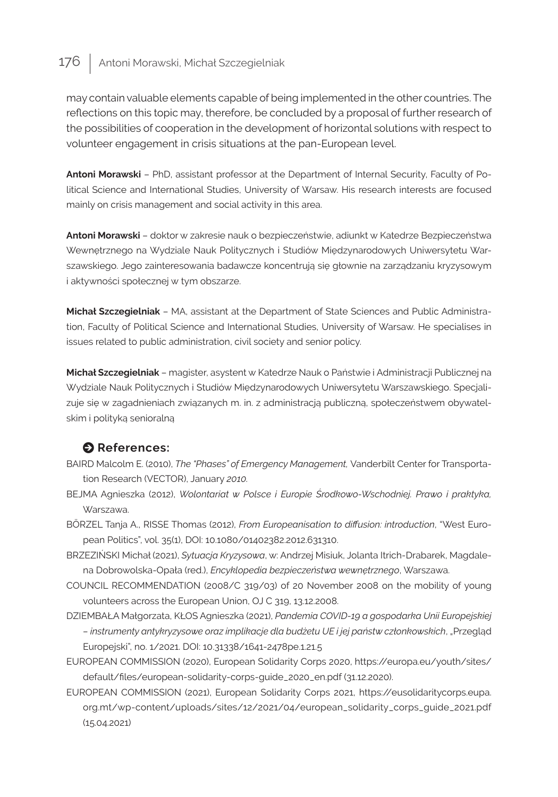may contain valuable elements capable of being implemented in the other countries. The reflections on this topic may, therefore, be concluded by a proposal of further research of the possibilities of cooperation in the development of horizontal solutions with respect to volunteer engagement in crisis situations at the pan-European level.

**Antoni Morawski** – PhD, assistant professor at the Department of Internal Security, Faculty of Political Science and International Studies, University of Warsaw. His research interests are focused mainly on crisis management and social activity in this area.

**Antoni Morawski** – doktor w zakresie nauk o bezpieczeństwie, adiunkt w Katedrze Bezpieczeństwa Wewnętrznego na Wydziale Nauk Politycznych i Studiów Międzynarodowych Uniwersytetu Warszawskiego. Jego zainteresowania badawcze koncentrują się głownie na zarządzaniu kryzysowym i aktywności społecznej w tym obszarze.

**Michał Szczegielniak** – MA, assistant at the Department of State Sciences and Public Administration, Faculty of Political Science and International Studies, University of Warsaw. He specialises in issues related to public administration, civil society and senior policy.

**Michał Szczegielniak** – magister, asystent w Katedrze Nauk o Państwie i Administracji Publicznej na Wydziale Nauk Politycznych i Studiów Międzynarodowych Uniwersytetu Warszawskiego. Specjalizuje się w zagadnieniach związanych m. in. z administracją publiczną, społeczeństwem obywatelskim i polityką senioralną

### $\bullet$  References:

- BAIRD Malcolm E. (2010), *The "Phases" of Emergency Management,* Vanderbilt Center for Transportation Research (VECTOR), January *2010.*
- BEJMA Agnieszka (2012), *Wolontariat w Polsce i Europie Środkowo-Wschodniej. Prawo i praktyka,*  Warszawa.
- BÖRZEL Tanja A., RISSE Thomas (2012), *From Europeanisation to diffusion: introduction*, "West European Politics", vol. 35(1), DOI: 10.1080/01402382.2012.631310.
- BRZEZIŃSKI Michał (2021), *Sytuacja Kryzysowa*, w: Andrzej Misiuk, Jolanta Itrich-Drabarek, Magdalena Dobrowolska-Opała (red.), *Encyklopedia bezpieczeństwa wewnętrznego*, Warszawa.
- COUNCIL RECOMMENDATION (2008/C 319/03) of 20 November 2008 on the mobility of young volunteers across the European Union, OJ C 319, 13.12.2008.
- DZIEMBAŁA Małgorzata, KŁOS Agnieszka (2021), *Pandemia COVID-19 a gospodarka Unii Europejskiej – instrumenty antykryzysowe oraz implikacje dla budżetu UE i jej państw członkowskich*, "Przegląd Europejski", no. 1/2021. DOI: 10.31338/1641-2478pe.1.21.5
- EUROPEAN COMMISSION (2020), European Solidarity Corps 2020, https://europa.eu/youth/sites/ default/files/european-solidarity-corps-guide\_2020\_en.pdf (31.12.2020).
- EUROPEAN COMMISSION (2021), European Solidarity Corps 2021, https://eusolidaritycorps.eupa. org.mt/wp-content/uploads/sites/12/2021/04/european\_solidarity\_corps\_guide\_2021.pdf (15.04.2021)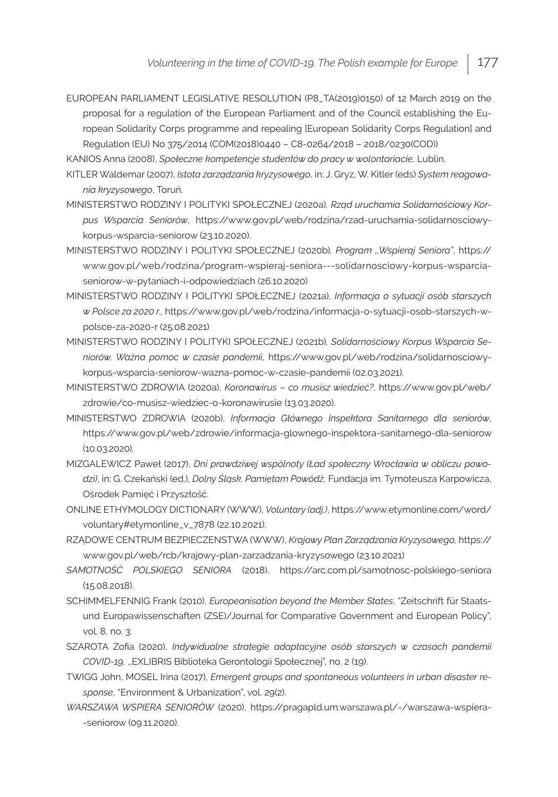EUROPEAN PARLIAMENT LEGISLATIVE RESOLUTION (P8\_TA(2019)0150) of 12 March 2019 on the proposal for a regulation of the European Parliament and of the Council establishing the European Solidarity Corps programme and repealing [European Solidarity Corps Regulation] and Regulation (EU) No 375/2014 (COM(2018)0440 – C8-0264/2018 – 2018/0230(COD))

KANIOS Anna (2008), *Społeczne kompetencje studentów do pracy w wolontariacie*, Lublin.

- KITLER Waldemar (2007), *Istota zarządzania kryzysowego*, in: J. Gryz, W. Kitler (eds) *System reagowania kryzysowego*, Toruń.
- MINISTERSTWO RODZINY I POLITYKI SPOŁECZNEJ (2020a)*, Rząd uruchamia Solidarnościowy Korpus Wsparcia Seniorów*, https://www.gov.pl/web/rodzina/rzad-uruchamia-solidarnosciowykorpus-wsparcia-seniorow (23.10.2020).
- MINISTERSTWO RODZINY I POLITYKI SPOŁECZNEJ (2020b)*, Program ,,Wspieraj Seniora"*, https:// www.gov.pl/web/rodzina/program-wspieraj-seniora---solidarnosciowy-korpus-wsparciaseniorow-w-pytaniach-i-odpowiedziach (26.10.2020)
- MINISTERSTWO RODZINY I POLITYKI SPOŁECZNEJ (2021a), *Informacja o sytuacji osób starszych w Polsce za 2020 r.,* https://www.gov.pl/web/rodzina/informacja-o-sytuacji-osob-starszych-wpolsce-za-2020-r (25.08.2021)
- MINISTERSTWO RODZINY I POLITYKI SPOŁECZNEJ (2021b)*, Solidarnościowy Korpus Wsparcia Seniorów. Ważna pomoc w czasie pandemii*, https://www.gov.pl/web/rodzina/solidarnosciowykorpus-wsparcia-seniorow-wazna-pomoc-w-czasie-pandemii (02.03.2021).
- MINISTERSTWO ZDROWIA (2020a), *Koronawirus co musisz wiedzieć?*, https://www.gov.pl/web/ zdrowie/co-musisz-wiedziec-o-koronawirusie (13.03.2020).
- MINISTERSTWO ZDROWIA (2020b), *Informacja Głównego Inspektora Sanitarnego dla seniorów*, https://www.gov.pl/web/zdrowie/informacja-glownego-inspektora-sanitarnego-dla-seniorow (10.03.2020).
- MIZGALEWICZ Paweł (2017), *Dni prawdziwej wspólnoty (Ład społeczny Wrocławia w obliczu powodzi)*, in: G. Czekański (ed.), *Dolny Śląsk. Pamiętam Powódź,* Fundacja im. Tymoteusza Karpowicza, Ośrodek Pamięć i Przyszłość.
- ONLINE ETHYMOLOGY DICTIONARY (WWW), *Voluntary (adj.)*, https://www.etymonline.com/word/ voluntary#etymonline\_v\_7878 (22.10.2021).
- RZĄDOWE CENTRUM BEZPIECZENSTWA (WWW), *Krajowy Plan Zarządzania Kryzysowego,* https:// www.gov.pl/web/rcb/krajowy-plan-zarzadzania-kryzysowego (23.10.2021)
- *SAMOTNOŚĆ POLSKIEGO SENIORA* (2018), https://arc.com.pl/samotnosc-polskiego-seniora (15.08.2018).
- SCHIMMELFENNIG Frank (2010), *Europeanisation beyond the Member States*, "Zeitschrift für Staatsund Europawissenschaften (ZSE)/Journal for Comparative Government and European Policy", vol. 8, no. 3.
- SZAROTA Zofia (2020), *Indywidualne strategie adaptacyjne osób starszych w czasach pandemii COVID-19,* ,,EXLIBRIS Biblioteka Gerontologii Społecznej", no. 2 (19).
- TWIGG John, MOSEL Irina (2017), *Emergent groups and spontaneous volunteers in urban disaster response*, "Environment & Urbanization", vol. 29(2).
- *WARSZAWA WSPIERA SENIORÓW* (2020), https://pragapld.um.warszawa.pl/-/warszawa-wspiera- -seniorow (09.11.2020).